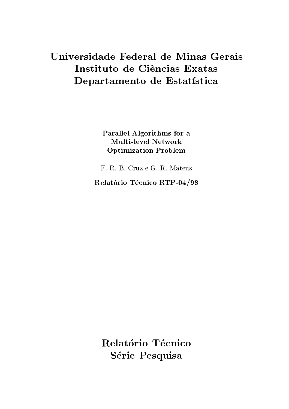# Universidade Federal de Minas Gerais Instituto de Ciências Exatas Departamento de Estatística

Parallel Algorithms for a **Multi-level Network Optimization Problem** 

F. R. B. Cruz e G. R. Mateus

Relatório Técnico RTP-04/98

Relatório Técnico Série Pesquisa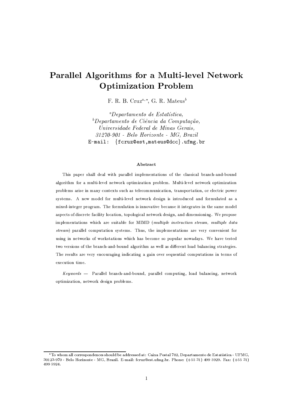## $-$  . The set of the set of the set of the set of the set of the set of the set of the set of the set of the set of the set of the set of the set of the set of the set of the set of the set of the set of the set of the se -

 ${\rm F.~R.~B.~Cruz^a.}^*.~{\rm G.~R.~Mateus^b}$  .

 $^aD$  on antemported a  $F$  otal  $\tilde{C}$ , - . / <sup>0</sup> <sup>1</sup> <sup>20</sup> <sup>3</sup> . <sup>4</sup> <sup>2</sup> <sup>5</sup> <sup>6</sup> . <sup>&</sup>gt; ; .? <sup>4</sup> <sup>&</sup>lt; ; <sup>0</sup> <sup>6</sup> <sup>0</sup> <sup>&</sup>gt; <sup>5</sup> <sup>3</sup> / @ <sup>2</sup> <sup>0</sup> A< 0B <sup>5</sup> <sup>=</sup> C <sup>4</sup> ; <sup>D</sup> . <sup>1</sup> <sup>8</sup> ; <sup>6</sup> <sup>0</sup> <sup>6</sup> . <sup>E</sup> . <sup>6</sup> . <sup>1</sup> <sup>0</sup> <sup>F</sup> <sup>6</sup> . <sup>G</sup> ; <sup>4</sup> <sup>0</sup> <sup>8</sup> <sup>H</sup> . <sup>1</sup> <sup>0</sup> ; <sup>8</sup> <sup>=</sup>  $\sim$  I and  $\sim$  T i  $\sim$  T  $\sim$  1;  $\sim$  1; R  $\sim$  1; R  $\sim$  1; F  $\sim$  1; F  $\sim$  1; F  $\sim$  1; F  $\sim$  1; F  $\sim$  1; F  $\sim$  1; F  $\sim$  1; F  $\sim$  1; F  $\sim$  1; F  $\sim$  1; F  $\sim$  1; F  $\sim$  1; F  $\sim$  1; F  $\sim$  1; F  $\sim$  1; F  $\sim$  1 S <sup>T</sup> <sup>U</sup> <sup>V</sup> <sup>W</sup> <sup>X</sup> <sup>Y</sup> <sup>Z</sup> [ \ ] ^ \_ ` <sup>a</sup> <sup>b</sup> <sup>c</sup> <sup>d</sup> U <sup>V</sup> <sup>c</sup> <sup>a</sup> ^ <sup>b</sup> ` <sup>e</sup> \ \ <sup>f</sup> <sup>g</sup> ^ [ <sup>U</sup> <sup>h</sup> <sup>g</sup> i ]

### j kl <sup>m</sup> <sup>n</sup> <sup>o</sup> <sup>p</sup> <sup>m</sup>

q rs t <sup>u</sup> <sup>v</sup> <sup>u</sup> <sup>w</sup> <sup>x</sup> <sup>t</sup> <sup>r</sup> <sup>v</sup> <sup>y</sup> y <sup>z</sup> <sup>w</sup> <sup>v</sup> <sup>y</sup> { <sup>s</sup> | <sup>r</sup> <sup>u</sup> <sup>v</sup> <sup>x</sup> <sup>v</sup> <sup>y</sup> y w <sup>y</sup> <sup>s</sup> } <sup>u</sup> <sup>y</sup> w} <sup>w</sup> <sup>~</sup> |v <sup>|</sup> <sup>s</sup> <sup>~</sup> <sup>t</sup> <sup>|</sup> <sup>r</sup> <sup>w</sup> <sup>y</sup> <sup>v</sup> tt <sup>s</sup> <sup>v</sup> <sup>y</sup> <sup>x</sup> <sup>v</sup> <sup>~</sup> <sup>r</sup> <sup>v</sup> <sup>~</sup> <sup>z</sup> <sup>~</sup> <sup>z</sup>  $\overline{\phantom{a}}$  ,  $\overline{\phantom{a}}$  ,  $\overline{\phantom{a}}$  ,  $\overline{\phantom{a}}$  ,  $\overline{\phantom{a}}$  ,  $\overline{\phantom{a}}$  ,  $\overline{\phantom{a}}$  ,  $\overline{\phantom{a}}$  ,  $\overline{\phantom{a}}$  ,  $\overline{\phantom{a}}$  ,  $\overline{\phantom{a}}$  ,  $\overline{\phantom{a}}$  ,  $\overline{\phantom{a}}$  ,  $\overline{\phantom{a}}$  ,  $\overline{\phantom{a}}$  ,  $\overline{\phantom{a}}$ where  $y$  is the state of the state of the state of the state of the state of the state of the state of the state of the state of the state of the state of the state of the state of the state of the state of the state of t t| <sup>w</sup> } <sup>t</sup> <sup>~</sup> <sup>w</sup> { } <sup>z</sup> <sup>w</sup> <sup>y</sup> <sup>x</sup> } <sup>y</sup> | <sup>s</sup> <sup>y</sup> w <sup>w</sup> <sup>y</sup> <sup>~</sup> <sup>w</sup> <sup>|</sup> { x <sup>z</sup> <sup>w</sup> <sup>t</sup> <sup>s</sup> <sup>~</sup> <sup>s</sup> t <sup>s</sup> ~ <sup>|</sup> <sup>x</sup> <sup>z</sup> <sup>w</sup> <sup>z</sup> <sup>v</sup> <sup>~</sup> <sup>z</sup> <sup>x</sup> } <sup>y</sup> <sup>v</sup> <sup>|</sup> <sup>w</sup> <sup>z</sup> <sup>v</sup> <sup>t</sup> <sup>v</sup> } <sup>s</sup> wz <sup>s</sup> ~ <sup>|</sup> <sup>w</sup> <sup>w</sup> <sup>x</sup> <sup>u</sup> <sup>x</sup> <sup>x</sup> <sup>v</sup> } <sup>q</sup> <sup>r</sup> w <sup>x</sup> } <sup>y</sup> <sup>v</sup> <sup>|</sup> <sup>s</sup> <sup>~</sup> <sup>s</sup> t <sup>s</sup> ~ <sup>~</sup> <sup>v</sup> |s <sup>w</sup> <sup>w</sup> <sup>v</sup> <sup>t</sup> <sup>w</sup> <sup>s</sup> | <sup>s</sup> ~ <sup>|</sup> <sup>w</sup> <sup>x</sup> <sup>v</sup> |w <sup>t</sup> <sup>s</sup> ~ <sup>|</sup> <sup>r</sup> <sup>w</sup> <sup>t</sup> <sup>v</sup> } <sup>w</sup> } <sup>z</sup> <sup>w</sup> <sup>y</sup> v <sup>t</sup> <sup>u</sup> <sup>w</sup> <sup>|</sup> <sup>t</sup> <sup>z</sup> <sup>s</sup> t <sup>x</sup> <sup>w</sup> <sup>|</sup> <sup>w</sup> <sup>v</sup> <sup>s</sup> y s | <sup>y</sup> <sup>v</sup> |s <sup>~</sup> <sup>|</sup> <sup>u</sup> <sup>y</sup> <sup>s</sup> <sup>v</sup> <sup>y</sup> <sup>~</sup> <sup>w</sup> <sup>|</sup> { x <sup>z</sup> <sup>w</sup> <sup>t</sup> <sup>s</sup> <sup>~</sup> <sup>v</sup> <sup>~</sup> <sup>z</sup> <sup>z</sup> <sup>s</sup> } <sup>w</sup> <sup>~</sup> ts <sup>~</sup> <sup>s</sup> <sup>~</sup> <sup>w</sup> <sup>u</sup> <sup>x</sup> <sup>u</sup> tw  $s$  when  $v$  is the set  $v$  is  $v$  and  $v$  is  $v$  and  $v$  we set  $v$  is  $v$  when  $v$  is  $v$  is  $v$  is  $v$  is  $v$  is  $v$  is  $v$  is  $v$  is  $v$  is  $v$  is  $v$  is  $v$  is  $v$  is  $v$  is  $v$  is  $v$  is  $v$  is  $v$  is  $v$  is  $v$  is ¢ <sup>u</sup> <sup>v</sup> <sup>x</sup> <sup>v</sup> <sup>y</sup> y w <sup>y</sup> } <sup>u</sup> |v |s <sup>~</sup> <sup>t</sup> t| <sup>w</sup> } <sup>t</sup> q r <sup>t</sup> | <sup>r</sup> <sup>w</sup> <sup>s</sup> } <sup>u</sup> <sup>y</sup> w} <sup>w</sup> <sup>~</sup> |v |s <sup>~</sup> <sup>t</sup> <sup>v</sup> <sup>x</sup> <sup>w</sup> <sup>w</sup> <sup>x</sup> <sup>~</sup> <sup>w</sup> <sup>~</sup> <sup>s</sup> w <sup>~</sup> <sup>|</sup> <sup>x</sup> <sup>t</sup> <sup>s</sup> ~ <sup>s</sup> ~ <sup>~</sup> <sup>w</sup> <sup>|</sup> { x t { x t| <sup>v</sup> <sup>|</sup> <sup>s</sup> <sup>~</sup> <sup>t</sup> { <sup>r</sup> <sup>s</sup> <sup>r</sup> <sup>r</sup> <sup>v</sup> t <sup>w</sup> } <sup>w</sup> <sup>t</sup> <sup>u</sup> <sup>u</sup> <sup>y</sup> <sup>v</sup> <sup>x</sup> <sup>~</sup> { <sup>v</sup> <sup>z</sup> <sup>v</sup> t <sup>w</sup> <sup>r</sup> <sup>v</sup> <sup>w</sup> <sup>|</sup> <sup>w</sup> <sup>t</sup> <sup>|</sup> <sup>w</sup> <sup>z</sup> | { <sup>w</sup> <sup>x</sup> <sup>t</sup> <sup>s</sup> <sup>~</sup> <sup>t</sup> <sup>|</sup> <sup>r</sup> <sup>w</sup> <sup>x</sup> <sup>v</sup> <sup>~</sup> <sup>r</sup> <sup>v</sup> <sup>~</sup> <sup>z</sup> <sup>~</sup> <sup>z</sup> <sup>v</sup> <sup>y</sup> xs | <sup>r</sup> } <sup>v</sup> t{ <sup>w</sup> <sup>y</sup> y <sup>v</sup> <sup>t</sup> <sup>z</sup> <sup>s</sup> £ <sup>w</sup> <sup>x</sup> <sup>w</sup> <sup>~</sup> <sup>|</sup> <sup>y</sup> <sup>v</sup> <sup>z</sup> <sup>v</sup> <sup>y</sup> <sup>v</sup> <sup>~</sup> <sup>s</sup> ~ <sup>t</sup> <sup>|</sup> <sup>x</sup> <sup>v</sup> |w <sup>s</sup> w <sup>t</sup> q rw <sup>x</sup> <sup>w</sup> <sup>t</sup> <sup>y</sup> | <sup>t</sup> <sup>v</sup> xw <sup>w</sup> <sup>x</sup> <sup>w</sup> <sup>~</sup> <sup>x</sup> <sup>v</sup> <sup>s</sup> ~ <sup>s</sup> ~ <sup>z</sup> <sup>s</sup> <sup>v</sup> |s ~ <sup>v</sup> <sup>v</sup> <sup>s</sup> ~ <sup>w</sup> <sup>x</sup> <sup>t</sup> <sup>w</sup> ¤ <sup>w</sup> <sup>~</sup> <sup>|</sup> <sup>s</sup> <sup>v</sup> <sup>y</sup> } <sup>u</sup> <sup>|</sup> <sup>v</sup> |s <sup>~</sup> ts ~ <sup>|</sup> <sup>w</sup> <sup>x</sup> } <sup>t</sup> where the contract of the contract of the contract of the contract of the contract of the contract of the contract of

¥ ¦ § ¡ ¨ © <sup>v</sup> xv <sup>y</sup> y w <sup>y</sup> <sup>x</sup> <sup>v</sup> <sup>~</sup> <sup>r</sup> <sup>v</sup> <sup>~</sup> <sup>z</sup> <sup>~</sup> <sup>z</sup> u <sup>v</sup> xv <sup>y</sup> y w <sup>y</sup> } <sup>u</sup> <sup>|</sup> <sup>s</sup> ~ y <sup>v</sup> <sup>z</sup> <sup>v</sup> <sup>y</sup> <sup>v</sup> <sup>~</sup> <sup>s</sup> ~ ~ <sup>w</sup> <sup>|</sup> { <sup>x</sup> under the set of the set of the set of the set of the set of the set of the set of the set of the set of the s

 $^*$ Te mb cur all acousto on densee about dibe a didecessible  $C$  . Outre Dental  $\pi$ 09  $\,$  Densets metric de  $E$  at at  $L$   $\pi$   $\bar{L}$   $\bar{L}$   $\bar{L}$   $\bar{L}$   $\bar{L}$ Î <sup>Â</sup> <sup>Ï</sup> <sup>Ã</sup> <sup>Î</sup> <sup>É</sup> <sup>Ð</sup> <sup>Á</sup> <sup>Â</sup> <sup>É</sup> <sup>Ñ</sup> ´ <sup>±</sup> ¬ <sup>Ò</sup> <sup>¬</sup> ³¾ Ó <sup>¬</sup> · » ´ <sup>É</sup> <sup>Ì</sup> <sup>Í</sup> <sup>Ä</sup> <sup>Ñ</sup> <sup>³</sup> ° <sup>Ó</sup> <sup>¾</sup> ±Ô <sup>Æ</sup> <sup>É</sup> ¯ ° <sup>¾</sup> ± <sup>¼</sup> <sup>Õ</sup> <sup>²</sup> <sup>³</sup> <sup>¹</sup> <sup>Ó</sup> <sup>Ö</sup> ´ <sup>µ</sup> »Ô ¹ <sup>Õ</sup> ¯ <sup>×</sup> <sup>Ô</sup> º <sup>³</sup> ÔÀ ® <sup>¬</sup> · ´ ¼Ø <sup>Ù</sup> <sup>Ú</sup> <sup>Ú</sup> <sup>Î</sup> <sup>Ï</sup> ÛÜ <sup>Ð</sup> <sup>Ð</sup> <sup>Ú</sup> <sup>Ð</sup> <sup>Ã</sup> <sup>Ð</sup> <sup>Ô</sup> <sup>Ë</sup> °¿ <sup>¼</sup> <sup>Ø</sup> Ù <sup>Ú</sup> <sup>Ú</sup> <sup>Î</sup> <sup>Ï</sup> <sup>Û</sup>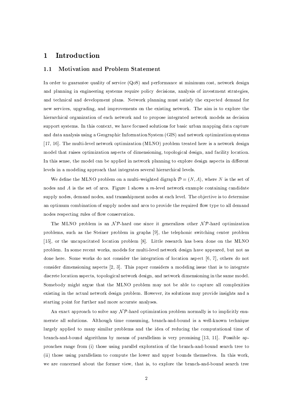#### Introduction  $\mathbf{1}$

#### **Motivation and Problem Statement**  $1.1$

In order to guarantee quality of service  $(QoS)$  and performance at minimum cost, network design and planning in engineering systems require policy decisions, analysis of investment strategies, and technical and development plans. Network planning must satisfy the expected demand for new services, upgrading, and improvements on the existing network. The aim is to explore the hierarchical organization of each network and to propose integrated network models as decision support systems. In this context, we have focused solutions for basic urban mapping data capture and data analysis using a Geographic Information System (GIS) and network optimization systems [17, 16]. The multi-level network optimization (MLNO) problem treated here is a network design model that raises optimization aspects of dimensioning, topological design, and facility location. In this sense, the model can be applied in network planning to explore design aspects in different levels in a modeling approach that integrates several hierarchical levels.

We define the MLNO problem on a multi-weighted digraph  $\mathcal{D} = (N, A)$ , where N is the set of nodes and  $A$  is the set of arcs. Figure 1 shows a m-level network example containing candidate supply nodes, demand nodes, and transshipment nodes at each level. The objective is to determine an optimum combination of supply nodes and arcs to provide the required flow type to all demand nodes respecting rules of flow conservation.

The MLNO problem is an  $\mathcal{NP}$ -hard one since it generalizes other  $\mathcal{NP}$ -hard optimization problems, such as the Steiner problem in graphs [9], the telephonic switching center problem [15], or the uncapacitated location problem [8]. Little research has been done on the MLNO problem. In some recent works, models for multi-level network design have appeared, but not as done here. Some works do not consider the integration of location aspect [6, 7], others do not consider dimensioning aspects [2, 3]. This paper considers a modeling issue that is to integrate discrete location aspects, topological network design, and network dimensioning in the same model. Somebody might argue that the MLNO problem may not be able to capture all complexities existing in the actual network design problem. However, its solutions may provide insights and a starting point for further and more accurate analyses.

An exact approach to solve any  $\mathcal{NP}$ -hard optimization problem normally is to implicitly enumerate all solutions. Although time consuming, branch-and-bound is a well-known technique largely applied to many similar problems and the idea of reducing the computational time of branch-and-bound algorithms by means of parallelism is very promising [13, 11]. Possible approaches range from (i) those using parallel exploration of the branch-and-bound search tree to (ii) those using parallelism to compute the lower and upper bounds themselves. In this work, we are concerned about the former view, that is, to explore the branch-and-bound search tree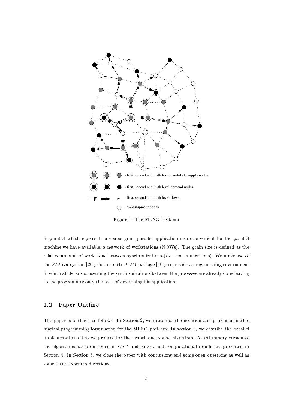

Figure 1: The MLNO Problem

in parallel which represents a coarse grain parallel application more convenient for the parallel machine we have available, a network of workstations (NOWs). The grain size is defined as the relative amount of work done between synchronizations (*i.e.*, communications). We make use of the SABOR system [20], that uses the PVM package [10], to provide a programming environment in which all details concerning the synchronizations between the processes are already done leaving to the programmer only the task of developing his application.

#### Paper Outline  $1.2$

The paper is outlined as follows. In Section 2, we introduce the notation and present a mathematical programming formulation for the MLNO problem. In section 3, we describe the parallel implementations that we propose for the branch-and-bound algorithm. A preliminary version of the algorithms has been coded in  $C++$  and tested, and computational results are presented in Section 4. In Section 5, we close the paper with conclusions and some open questions as well as some future research directions.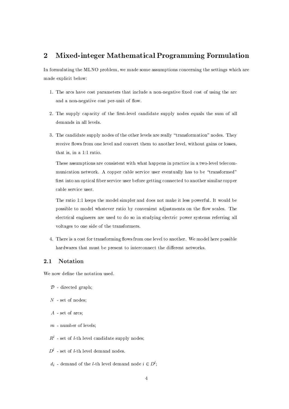#### $\overline{2}$ Mixed-integer Mathematical Programming Formulation

In formulating the MLNO problem, we made some assumptions concerning the settings which are made explicit below:

- 1. The arcs have cost parameters that include a non-negative fixed cost of using the arc and a non-negative cost per-unit of flow.
- 2. The supply capacity of the first-level candidate supply nodes equals the sum of all demands in all levels.
- 3. The candidate supply nodes of the other levels are really "transformation" nodes. They receive flows from one level and convert them to another level, without gains or losses, that is, in a 1:1 ratio.

These assumptions are consistent with what happens in practice in a two-level telecommunication network. A copper cable service user eventually has to be "transformed" first into an optical fiber service user before getting connected to another similar copper cable service user.

The ratio 1:1 keeps the model simpler and does not make it less powerful. It would be possible to model whatever ratio by convenient adjustments on the flow scales. The electrical engineers are used to do so in studying electric power systems referring all voltages to one side of the transformers.

4. There is a cost for transforming flows from one level to another. We model here possible hardwares that must be present to interconnect the different networks.

#### $2.1$ **Notation**

We now define the notation used.

- $\mathcal{D}$  directed graph;
- $N$  set of nodes:
- $A$  set of arcs;
- $m$  number of levels;
- $R^l$  set of *l*-th level candidate supply nodes:
- $D^{l}$  set of *l*-th level demand nodes.
- $d_i$  demand of the *l*-th level demand node  $i \in D^l$ ;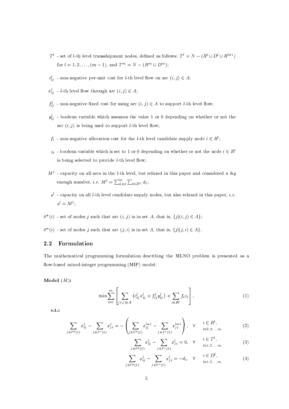- $T^l$  set of *l*-th level transshipment nodes, defined as follows:  $T^l = N (R^l \cup D^l \cup R^{l+1})$ for  $l = 1, 2, ..., (m - 1)$ , and  $T^m = N - (R^m \cup D^m)$ ;
- $c_{i,j}^l$  non-negative per-unit cost for *l*-th level flow on arc  $(i, j) \in A$ ;
- $x_{ij}^l$  *l*-th level flow through arc  $(i, j) \in A$ ;
- $f_{i,i}^l$  non-negative fixed cost for using arc  $(i, j) \in A$  to support *l*-th level flow;
- $y_{ij}^l$  boolean variable which assumes the value 1 or 0 depending on whether or not the arc  $(i, j)$  is being used to support *l*-th level flow;
- $f_i$  non-negative allocation cost for the *l*-th level candidate supply node  $i \in R^l$ ;
- $z_i$  boolean variable which is set to 1 or 0 depending on whether or not the node  $i \in R^l$ is being selected to provide  $l$ -th level flow;
- $M<sup>l</sup>$  capacity on all arcs in the *l*-th level, but relaxed in this paper and considered a big enough number, *i.e.*  $M^l = \sum_{L=l}^m \sum_{i \in D^L} d_i$ ;
- $s<sup>l</sup>$  capacity on all *l*-th level candidate supply nodes, but also relaxed in this paper, *i.e.*  $s^l = M^l$ ;
- $\delta^+(i)$  set of nodes j such that arc  $(i, j)$  is in set A, that is,  $\{j|(i, j) \in A\}$ ;
- $\delta^{-}(i)$  set of nodes j such that arc  $(j, i)$  is in set A, that is,  $\{j|(j, i) \in A\}$ .

#### $2.2$ Formulation

The mathematical programming formulation describing the MLNO problem is presented as a flow-based mixed-integer programming (MIP) model:

Model  $(M)$ :

$$
\min \sum_{l=1}^{m} \left[ \sum_{(i,j)\in A} \left( c_{ij}^{l} x_{ij}^{l} + f_{ij}^{l} y_{ij}^{l} \right) + \sum_{i\in R^{l}} f_{i} z_{i} \right],
$$
\n(1)

 $s.t.$ :

$$
\sum_{j \in \delta^{+}(i)} x_{ij}^{l} - \sum_{j \in \delta^{-}(i)} x_{ji}^{l} = -\left(\sum_{j \in \delta^{+}(i)} x_{ij}^{l-1} - \sum_{j \in \delta^{-}(i)} x_{ji}^{l-1}\right), \quad \forall \quad i \in R^{l},
$$
\n(2)

$$
\sum_{j \in \delta^+(i)} x_{ij}^l - \sum_{j \in \delta^-(i)} x_{ji}^l = 0, \quad \forall \quad \begin{array}{c} i \in T^l, \\ i = 1, 2, ..., m, \end{array} \tag{3}
$$

$$
\sum_{j \in \delta^+(i)} x_{ij}^l - \sum_{j \in \delta^-(i)} x_{ji}^l = -d_i, \quad \forall \quad \begin{array}{c} i \in D^l, \\ i=1,2,\dots,m, \end{array} \tag{4}
$$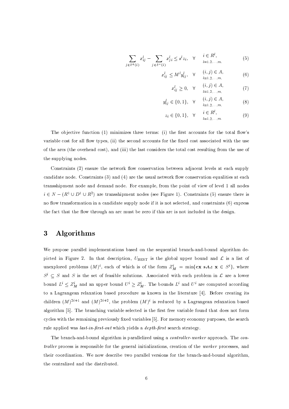$$
\sum_{j \in \delta^+(i)} x_{ij}^l - \sum_{j \in \delta^-(i)} x_{ji}^l \le s^l z_i, \quad \forall \quad \begin{array}{c} i \in R^l, \\ l=1,2,\dots,m, \end{array} \tag{5}
$$

$$
x_{ij}^l \le M^l y_{ij}^l, \quad \forall \quad \begin{array}{c} (i,j) \in A, \\ i=1,2,...,m, \end{array} \tag{6}
$$

$$
x_{ij}^{l} \ge 0, \quad \forall \quad \begin{array}{c} (i,j) \in A, \\ \qquad l=1,2,...,m, \end{array} \tag{7}
$$

$$
y_{ij}^l \in \{0, 1\}, \quad \forall \quad \begin{array}{c} (i, j) \in A, \\ \quad l = 1, 2, \dots, m, \end{array} \tag{8}
$$

$$
z_i \in \{0, 1\}, \quad \forall \quad i \in R^l, \qquad (9)
$$

The objective function (1) minimizes three terms: (i) the first accounts for the total flow's variable cost for all flow types, (ii) the second accounts for the fixed cost associated with the use of the arcs (the overhead cost), and (iii) the last considers the total cost resulting from the use of the supplying nodes.

Constraints (2) ensure the network flow conservation between adjacent levels at each supply candidate node. Constraints (3) and (4) are the usual network flow conservation equalities at each transshipment node and demand node. For example, from the point of view of level 1 all nodes  $i \in N - (R^1 \cup D^1 \cup R^2)$  are transshipment nodes (see Figure 1). Constraints (5) ensure there is no flow transformation in a candidate supply node if it is not selected, and constraints (6) express the fact that the flow through an arc must be zero if this arc is not included in the design.

#### 3 Algorithms

We propose parallel implementations based on the sequential branch-and-bound algorithm depicted in Figure 2. In that description,  $U_{\text{BEST}}$  is the global upper bound and  $\mathcal L$  is a list of unexplored problems  $(M)^i$ , each of which is of the form  $Z_M^i = \min\{\mathbf{cx} \text{ s.t.: } \mathbf{x} \in S^i\},\$  where  $S^i \subseteq S$  and S is the set of feasible solutions. Associated with each problem in  $\mathcal L$  are a lower bound  $L^i \leq Z_M^i$  and an upper bound  $U^i \geq Z_M^i$ . The bounds  $L^i$  and  $U^i$  are computed according to a Lagrangean relaxation based procedure as known in the literature [4]. Before creating its children  $(M)^{2i+1}$  and  $(M)^{2i+2}$ , the problem  $(M)^i$  is reduced by a Lagrangean relaxation based algorithm [5]. The branching variable selected is the first free variable found that does not form cycles with the remaining previously fixed variables [5]. For memory economy purposes, the search rule applied was last-in-first-out which yields a depth-first search strategy.

The branch-and-bound algorithm is parallelized using a *controller-worker* approach. The con*troller* process is responsible for the general initializations, creation of the *worker* processes, and their coordination. We now describe two parallel versions for the branch-and-bound algorithm, the centralized and the distributed.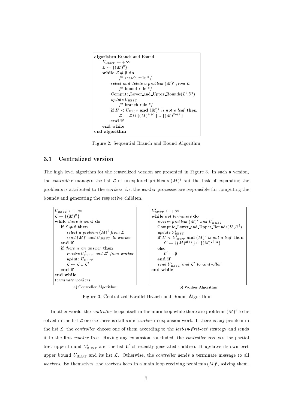```
algorithm Branch-and-Bound
     U_{\text{best}} \leftarrow +\infty\mathcal{L} \leftarrow \{(M)^0\}while \mathcal{L} \neq \emptyset do
                /* search rule */
           select and delete a problem (M)^i from \mathcal L/* bound rule */Compute_Lower_and_Upper_Bounds(L^i, U^i)update U_{\text{BERT}}/* branch rule */
           if L^i < U_{\text{BERT}} and (M)^i is not a leaf then
                \mathcal{L} \leftarrow \mathcal{L} \cup \{(M)^{2i+1}\} \cup \{(M)^{2i+2}\}end if
     end while
end algorithm
```
Figure 2: Sequential Branch-and-Bound Algorithm

#### $3.1$ Centralized version

The high level algorithm for the centralized version are presented in Figure 3. In such a version, the controller manages the list  $\mathcal L$  of unexplored problems  $(M)^i$  but the task of expanding the problems is attributed to the *workers*, *i.e.* the *worker* processes are responsible for computing the bounds and generating the respective children.



a) Controller Algorithm

b) Worker Algorithm

Figure 3: Centralized Parallel Branch-and-Bound Algorithm

In other words, the *controller* keeps itself in the main loop while there are problems  $(M)^i$  to be solved in the list  $\mathcal L$  or else there is still some *worker* in expansion work. If there is any problem in the list  $\mathcal{L}$ , the *controller* choose one of them according to the *last-in-first-out* strategy and sends it to the first *worker* free. Having any expansion concluded, the *controller* receives the partial best upper bound  $U'_{\text{BEST}}$  and the list  $\mathcal{L}'$  of recently generated children. It updates its own best upper bound  $U_{\text{BEST}}$  and its list  $\mathcal{L}$ . Otherwise, the *controller* sends a terminate message to all *workers.* By themselves, the *workers* keep in a main loop receiving problems  $(M)^i$ , solving them,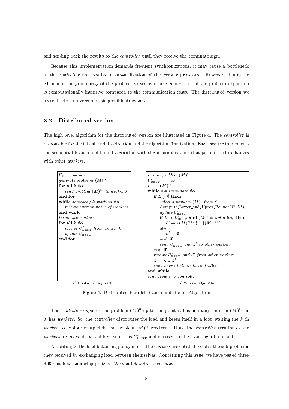and sending back the results to the *controller* until they receive the terminate sign.

Because this implementation demands frequent synchronizations, it may cause a bottleneck in the *controller* and results in sub-utilization of the *worker* processes. However, it may be efficient if the granularity of the problem solved is coarse enough, *i.e.* if the problem expansion is computationally intensive compared to the communication costs. The distributed version we present tries to overcome this possible drawback.

#### $3.2$ Distributed version

The high level algorithm for the distributed version are illustrated in Figure 4. The controller is responsible for the initial load distribution and the algorithm finalization. Each worker implements the sequential branch-and-bound algorithm with slight modifications that permit load exchanges with other workers.



a) Controller Algorithm

b) Worker Algorithm

Figure 4: Distributed Parallel Branch-and-Bound Algorithm

The controller expands the problem  $(M)^0$  up to the point it has as many children  $(M)^{i_k}$  as it has workers. So, the controller distributes the load and keeps itself in a loop waiting the  $k$ -th worker to explore completely the problem  $(M)^{i_k}$  received. Thus, the controller terminates the workers, receives all partial best solutions  $U'_{\text{BEST}}$  and chooses the best among all received.

According to the load balancing policy in use, the *workers* are entitled to solve the sub-problems they received by exchanging load between themselves. Concerning this issue, we have tested three different load balancing policies. We shall describe them now.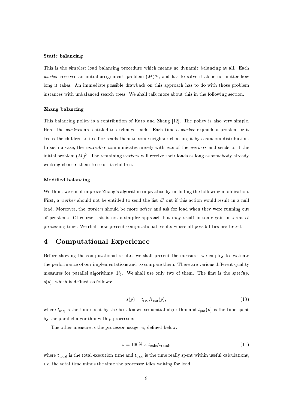## **Static balancing**

This is the simplest load balancing procedure which means no dynamic balancing at all. Each worker receives an initial assignment, problem  $(M)^{i_k}$ , and has to solve it alone no matter how long it takes. An immediate possible drawback on this approach has to do with those problem instances with unbalanced search trees. We shall talk more about this in the following section.

## Zhang balancing

This balancing policy is a contribution of Karp and Zhang [12]. The policy is also very simple. Here, the workers are entitled to exchange loads. Each time a worker expands a problem or it keeps the children to itself or sends them to some neighbor choosing it by a random distribution. In such a case, the *controller* communicates merely with one of the *workers* and sends to it the initial problem  $(M)^0$ . The remaining workers will receive their loads as long as somebody already working chooses them to send its children.

## Modified balancing

We think we could improve Zhang's algorithm in practice by including the following modification. First, a worker should not be entitled to send the list  $\mathcal{L}'$  out if this action would result in a null load. Moreover, the workers should be more active and ask for load when they were running out of problems. Of course, this is not a simpler approach but may result in some gain in terms of processing time. We shall now present computational results where all possibilities are tested.

#### **Computational Experience**  $\overline{4}$

Before showing the computational results, we shall present the measures we employ to evaluate the performance of our implementations and to compare them. There are various different quality measures for parallel algorithms [18]. We shall use only two of them. The first is the speedup,  $s(p)$ , which is defined as follows:

$$
s(p) = t_{\text{seq}}/t_{\text{par}}(p),\tag{10}
$$

where  $t_{\text{seq}}$  is the time spent by the best known sequential algorithm and  $t_{\text{par}}(p)$  is the time spent by the parallel algorithm with  $p$  processors.

The other measure is the processor usage,  $u$ , defined below:

$$
u = 100\% \times t_{\text{calc}}/t_{\text{total}},\tag{11}
$$

where  $t_{\text{total}}$  is the total execution time and  $t_{\text{calc}}$  is the time really spent within useful calculations, *i.e.* the total time minus the time the processor idles waiting for load.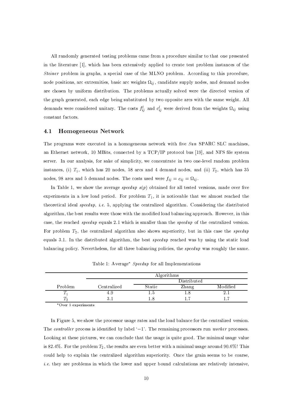All randomly generated testing problems came from a procedure similar to that one presented in the literature [1], which has been extensively applied to create test problem instances of the Steiner problem in graphs, a special case of the MLNO problem. According to this procedure, node positions, are extremities, basic are weights  $\Omega_{ij}$ , candidate supply nodes, and demand nodes are chosen by uniform distribution. The problems actually solved were the directed version of the graph generated, each edge being substituted by two opposite arcs with the same weight. All demands were considered unitary. The costs  $f_{ij}^l$  and  $c_{ij}^l$  were derived from the weights  $\Omega_{ij}$  using constant factors.

#### $4.1$ **Homogeneous Network**

The programs were executed in a homogeneous network with five Sun SPARC SLC machines, an Ethernet network, 10 MBits, connected by a TCP/IP protocol bus [19], and NFS file system server. In our analysis, for sake of simplicity, we concentrate in two one-level random problem instances, (i)  $T_1$ , which has 20 nodes, 58 arcs and 4 demand nodes, and (ii)  $T_2$ , which has 35 nodes, 98 arcs and 5 demand nodes. The costs used were  $f_{ij} = c_{ij} = \Omega_{ij}$ .

In Table 1, we show the average speedup  $s(p)$  obtained for all tested versions, made over five experiments in a low load period. For problem  $T_1$ , it is noticeable that we almost reached the theoretical ideal speedup, i.e. 5, applying the centralized algorithm. Considering the distributed algorithm, the best results were those with the modified load balancing approach. However, in this case, the reached *speedup* equals 2.1 which is smaller than the *speedup* of the centralized version. For problem  $T_2$ , the centralized algorithm also shows superiority, but in this case the *speedup* equals 3.1. In the distributed algorithm, the best speedup reached was by using the static load balancing policy. Nevertheless, for all three balancing policies, the speedup was roughly the same.

|         | Algorithms  |             |       |          |  |  |  |  |  |
|---------|-------------|-------------|-------|----------|--|--|--|--|--|
|         |             | Distributed |       |          |  |  |  |  |  |
| Problem | Centralized | Static      | Zhang | Modified |  |  |  |  |  |
|         | 1. .        |             |       |          |  |  |  |  |  |
| 7 ລ     | .           |             |       |          |  |  |  |  |  |

Table 1: Average\* Speedup for all Implementations

\*Over 5 experiments

In Figure 5, we show the processor usage rates and the load balance for the centralized version. The *controller* process is identified by label  $(-1)$ . The remaining processors run *worker* processes. Looking at these pictures, we can conclude that the usage is quite good. The minimal usage value is 82.4%. For the problem  $T_2$ , the results are even better with a minimal usage around 90.6%! This could help to explain the centralized algorithm superiority. Once the grain seems to be coarse, *i.e.* they are problems in which the lower and upper bound calculations are relatively intensive,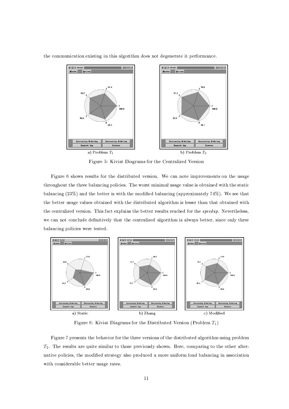



Figure 5: Kiviat Diagrams for the Centralized Version

Figure 6 shows results for the distributed version. We can note improvements on the usage throughout the three balancing policies. The worst minimal usage value is obtained with the static balancing (23%) and the better is with the modified balancing (approximately 74%). We see that the better usage values obtained with the distributed algorithm is lesser than that obtained with the centralized version. This fact explains the better results reached for the *speedup*. Nevertheless, we can not conclude definitively that the centralized algorithm is always better, since only three balancing policies were tested.



Figure 6: Kiviat Diagrams for the Distributed Version (Problem  $T_1$ )

Figure 7 presents the behavior for the three versions of the distributed algorithm using problem  $T_2$ . The results are quite similar to those previously shown. Here, comparing to the other alternative policies, the modified strategy also produced a more uniform load balancing in association with considerable better usage rates.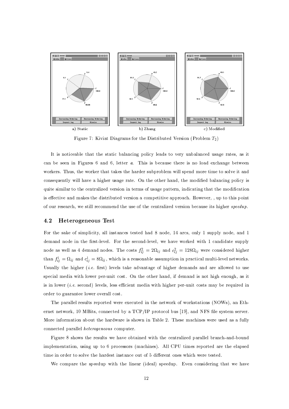

Figure 7: Kiviat Diagrams for the Distributed Version (Problem  $T_2$ )

It is noticeable that the static balancing policy leads to very unbalanced usage rates, as it can be seen in Figures 6 and 6, letter a. This is because there is no load exchange between workers. Thus, the worker that takes the harder subproblem will spend more time to solve it and consequently will have a higher usage rate. On the other hand, the modified balancing policy is quite similar to the centralized version in terms of usage pattern, indicating that the modification is effective and makes the distributed version a competitive approach. However, , up to this point of our research, we still recommend the use of the centralized version because its higher speedup.

#### 4.2 Heterogeneous Test

For the sake of simplicity, all instances tested had 8 node, 14 arcs, only 1 supply node, and 1 demand node in the first-level. For the second-level, we have worked with 1 candidate supply node as well as 4 demand nodes. The costs  $f_{ij}^2 = 2\Omega_{ij}$  and  $c_{ij}^2 = 128\Omega_{ij}$  were considered higher than  $f_{ij}^1 = \Omega_{ij}$  and  $c_{ij}^1 = 8\Omega_{ij}$ , which is a reasonable assumption in practical multi-level networks. Usually the higher (i.e. first) levels take advantage of higher demands and are allowed to use special media with lower per-unit cost. On the other hand, if demand is not high enough, as it is in lower *(i.e.* second) levels, less efficient media with higher per-unit costs may be required in order to guarantee lower overall cost.

The parallel results reported were executed in the network of workstations (NOWs), an Ethernet network, 10 MBits, connected by a TCP/IP protocol bus [19], and NFS file system server. More information about the hardware is shown in Table 2. These machines were used as a fully connected parallel heterogeneous computer.

Figure 8 shows the results we have obtained with the centralized parallel branch-and-bound implementation, using up to 6 processors (machines). All CPU times reported are the elapsed time in order to solve the hardest instance out of 5 different ones which were tested.

We compare the speedup with the linear (ideal) speedup. Even considering that we have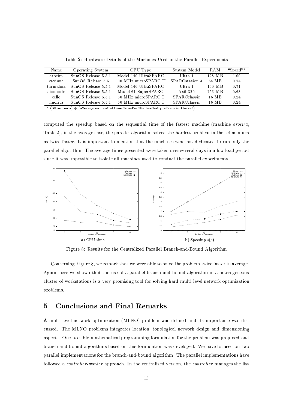|  |  |  |  |  |  |  |  |  |  |  |  |  |  |  | Table 2: Hardware Details of the Machines Used in the Parallel Experiments |
|--|--|--|--|--|--|--|--|--|--|--|--|--|--|--|----------------------------------------------------------------------------|
|--|--|--|--|--|--|--|--|--|--|--|--|--|--|--|----------------------------------------------------------------------------|

| Name                                                                                                                                        | Operating System    | CPU Type              | System Model   | RAM    | "Speed"* |  |  |  |  |
|---------------------------------------------------------------------------------------------------------------------------------------------|---------------------|-----------------------|----------------|--------|----------|--|--|--|--|
| aroeira                                                                                                                                     | SunOS Release 5.5.1 | Model 140 UltraSPARC  | Ultra 1        | 128 MB | 1.00     |  |  |  |  |
| caviuna                                                                                                                                     | SunOS Release 5.5   | 110 MHz microSPARC II | SPARCstation 4 | 64 MB  | 0.74     |  |  |  |  |
| turmalina                                                                                                                                   | SunOS Release 5.5.1 | Model 140 UltraSPARC  | Ultra 1        | 160 MB | 0.71     |  |  |  |  |
| diamante                                                                                                                                    | SunOS Release 5.5.1 | Model 61 SuperSPARC   | A xil 320      | 256 MB | 0.63     |  |  |  |  |
| cello.                                                                                                                                      | SunOS Release 5.5.1 | 50 MHz microSPARC I   | SPARCclassic   | 16 MB  | 0.24     |  |  |  |  |
| fluorita                                                                                                                                    | SunOS Release 5.5.1 | 50 MHz microSPARC I   | SPARCclassic   | 16 MB  | 0.24     |  |  |  |  |
| $*(\rho_0, \ldots, 1) \leftarrow (\ldots, \ldots, \ldots, 1)$ . $(1, \ldots, 1)$ . $(1, \ldots, 1)$ . The leader continues $(1, \ldots, 1)$ |                     |                       |                |        |          |  |  |  |  |

(average sequential time to solve the hardest problem in the set)

computed the speedup based on the sequential time of the fastest machine (machine *aroeira*, Table 2), in the average case, the parallel algorithm solved the hardest problem in the set as much as twice faster. It is important to mention that the machines were not dedicated to run only the parallel algorithm. The average times presented were taken over several days in a low load period since it was impossible to isolate all machines used to conduct the parallel experiments.



Figure 8: Results for the Centralized Parallel Branch-and-Bound Algorithm

Concerning Figure 8, we remark that we were able to solve the problem twice faster in average. Again, here we shown that the use of a parallel branch-and-bound algorithm in a heterogeneous cluster of workstations is a very promising tool for solving hard multi-level network optimization problems.

#### **Conclusions and Final Remarks**  $\overline{5}$

A multi-level network optimization (MLNO) problem was defined and its importance was discussed. The MLNO problems integrates location, topological network design and dimensioning aspects. One possible mathematical programming formulation for the problem was proposed and branch-and-bound algorithms based on this formulation was developed. We have focused on two parallel implementations for the branch-and-bound algorithm. The parallel implementations have followed a *controller-worker* approach. In the centralized version, the *controller* manages the list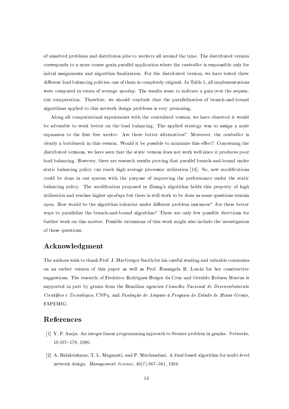of unsolved problems and distributes jobs to *workers* all around the time. The distributed version corresponds to a more coarse grain parallel application where the *controller* is responsible only for initial assignments and algorithm finalization. For the distributed version, we have tested three different load balancing policies, one of them is completely original. In Table 1, all implementations were compared in terms of average *speedup*. The results seem to indicate a gain over the sequential computation. Therefore, we should conclude that the parallelization of branch-and-bound algorithms applied to this network design problems is very promising.

Along all computational experiments with the centralized version, we have observed it would be advisable to work better on the load balancing. The applied strategy was to assign a node expansion to the first free worker. Are there better alternatives? Moreover, the controller is clearly a bottleneck in this version. Would it be possible to minimize this effect? Concerning the distributed versions, we have seen that the static version does not work well since it produces poor load balancing. However, there are research results proving that parallel branch-and-bound under static balancing policy can reach high average processor utilization [14]. So, new modifications could be done in our system with the purpose of improving the performance under the static balancing policy. The modification proposed in Zhang's algorithm holds this property of high utilization and reaches higher *speedups* but there is still work to be done as some questions remain open. How would be the algorithm behavior under different problem instances? Are there better ways to parallelize the branch-and-bound algorithm? These are only few possible directions for further work on this matter. Possible extensions of this work might also include the investigation of these questions.

## Acknowledgment

The authors wish to thank Prof. J. MacGregor Smith for his careful reading and valuable comments on an earlier version of this paper as well as Prof. Rosangela H. Loschi for her constructive suggestions. The research of Frederico Rodrigues Borges da Cruz and Geraldo Robson Mateus is supported in part by grants from the Brazilian agencies Conselho Nacional de Desenvolvimento Científico e Tecnológico, CNPq, and Fundação de Amparo à Pesquisa do Estado de Minas Gerais, FAPEMIG.

## References

- [1] Y. P. Aneja. An integer linear programming approach to Steiner problem in graphs. Networks,  $10:167-178, 1980.$
- [2] A. Balakrishnan, T. L. Magnanti, and P. Mirchandani. A dual-based algorithm for multi-level network design. Management Science, 40(7):567-581, 1994.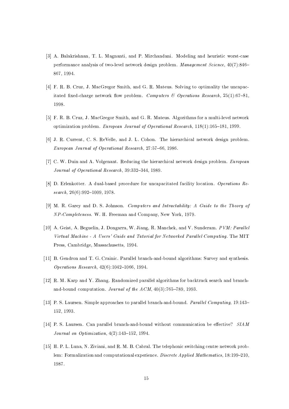- 7 . S 0 . S 0 . S 0 . S 0 . S 0 . S 0 . S 0 . S 0 . S 0 . S 0 . S 0 . S 0 . S 0 . S 0 . S 0 . S 0 . S 0 . S 0 . performance analysis of two-level network design problem. *Management Science*,  $40(7)$ :846–
- <sup>7</sup> : <sup>G</sup> <sup>0</sup> <sup>0</sup> <sup>0</sup> <sup>4</sup> , <sup>0</sup> <sup>&</sup>lt; % <sup>6</sup> ( + / , <sup>6</sup> <sup>0</sup> <sup>0</sup> <sup>&</sup>lt; # <sup>0</sup> ( \$ \* + ! / % \* % ; itated fixed-charge network flow problem. Computers & Operations Research,  $25(1):67-81$ ,  $\lambda$  m  $\lambda$  m  $\lambda$  m  $\lambda$  m  $\lambda$  m  $\lambda$
- <sup>7</sup> <sup>N</sup> : <sup>G</sup> <sup>0</sup> <sup>0</sup> <sup>0</sup> <sup>4</sup> , <sup>0</sup> <sup>&</sup>lt; % <sup>6</sup> ( + / , <sup>6</sup> <sup>0</sup> <sup>0</sup> <sup>&</sup>lt; # <sup>0</sup> <sup>S</sup> / <sup>+</sup> # " <sup>+</sup> ; \$ .  $\cdots$  , the distribution of  $\cdots$  ,  $\cdots$  ,  $\cdots$  ,  $\cdots$  ,  $\cdots$  ,  $\cdots$  ,  $\cdots$  ,  $\cdots$  ,  $\cdots$  ,  $\cdots$  ,  $\cdots$  ,  $\cdots$  ,  $\cdots$  ,  $\cdots$  ,  $\cdots$  ,  $\cdots$  ,  $\cdots$  ,  $\cdots$  ,  $\cdots$  ,  $\cdots$  ,  $\cdots$  ,  $\cdots$  ,  $\cdots$  ,  $\cdots$  ,
- <sup>7</sup> <sup>9</sup> : <sup>0</sup> <sup>0</sup> , <sup>0</sup> ( <sup>0</sup> , <sup>0</sup> <sup>=</sup> <sup>0</sup> / <sup>0</sup> <sup>3</sup> / / % / % . # \* <sup>5</sup> <sup>+</sup> <sup>0</sup> - , <sup>P</sup> <sup>8</sup> <sup>N</sup> <sup>8</sup> <sup>9</sup> <sup>9</sup> , <sup>Ý</sup> <sup>M</sup> <sup>O</sup> <sup>9</sup> <sup>0</sup>
- <sup>7</sup> <sup>8</sup> : <sup>0</sup> @ <sup>0</sup> <sup>S</sup> <sup>0</sup> <sup>0</sup> % / / % / % - . # \* <sup>5</sup> <sup>+</sup> <sup>0</sup> - , <sup>Q</sup> <sup>M</sup> <sup>Q</sup> <sup>Q</sup> <sup>P</sup> <sup>Q</sup> , <sup>Ý</sup> <sup>M</sup> <sup>O</sup> <sup>M</sup> <sup>0</sup>
- 7 O : <sup>0</sup> . <sup>0</sup> <sup>S</sup> ; <sup>5</sup> # \* % " % \* % " % ! % <sup>0</sup>  $search, 26(6):992-1009, 1978.$
- 7 M : <sup>&</sup>lt; <sup>0</sup> <sup>0</sup> <sup>6</sup> ! <sup>0</sup> ( <sup>0</sup> / # <sup>0</sup> -- <sup>0</sup> @ <sup>0</sup> <sup>R</sup> <sup>0</sup> <sup>G</sup> <sup>+</sup> <sup>+</sup> \* ! , <sup>1</sup> - . , <sup>Ý</sup> <sup>M</sup> <sup>8</sup> <sup>M</sup> <sup>0</sup>
- <sup>7</sup> Ý :<sup>S</sup> <sup>0</sup> <sup>6</sup> # ,<sup>S</sup> <sup>0</sup> , <sup>0</sup> , @ <sup>0</sup> , <sup>0</sup> <sup>&</sup>lt; %/ . , <sup>0</sup> ( <sup>+</sup> <sup>0</sup>  - - ! " <sup>0</sup> <sup>3</sup> / <sup>&</sup>lt; <sup>3</sup> Press, Cambridge, Massachusetts, 1994.
- <sup>7</sup> Ý <sup>Ý</sup> : <sup>0</sup> <sup>6</sup> <sup>3</sup> <sup>0</sup> <sup>6</sup> <sup>0</sup> % <sup>0</sup> <sup>T</sup> <sup>5</sup> %/ ; ; <sup>5</sup> / <sup>+</sup> # ( \$ ! # ! / # # <sup>0</sup>  $Operations$   $Research$ ,  $42(6):1042-1066$ , 1994.
- <sup>7</sup> Ý <sup>P</sup> : <sup>0</sup> <sup>&</sup>lt; <sup>0</sup> \* <sup>0</sup> / <sup>0</sup> + 4 \* / <sup>+</sup> # " 5 % . % . # % / <sup>5</sup> %/ ;  $\mathbf{S} = \mathbf{S} + \mathbf{S}$  ,  $\mathbf{S} = \mathbf{S}$  ,  $\mathbf{S} = \mathbf{S}$  ,  $\mathbf{S} = \mathbf{S}$  ,  $\mathbf{S} = \mathbf{S}$  ,  $\mathbf{S} = \mathbf{S}$  ,  $\mathbf{S} = \mathbf{S}$  ,  $\mathbf{S} = \mathbf{S}$  ,  $\mathbf{S} = \mathbf{S}$  ,  $\mathbf{S} = \mathbf{S}$  ,  $\mathbf{S} = \mathbf{S}$  ,  $\mathbf{S} = \mathbf{S}$
- <sup>7</sup> Ý <sup>Q</sup> :T <sup>0</sup> ( <sup>0</sup> <sup>=</sup> # <sup>0</sup> ( + \* \* \* % / # \* <sup>5</sup> % / ; ; <sup>5</sup> <sup>0</sup> , <sup>Ý</sup> <sup>M</sup> <sup>Ý</sup> <sup>Q</sup>  $\lambda$  and  $\lambda$  is the set of  $\lambda$  m  $\lambda$  and  $\lambda$  m  $\lambda$  m  $\lambda$  and  $\lambda$  m  $\lambda$  and  $\lambda$
- 7 Y :T 0 ( 0 ) 5 Y :T 0 ( 0 ) 5 Y :T 0 ( 0 ) 5 Y :T 0 U :T 0 U :T 0 U :T 0 U :T 0 U :T 0 U :T 0 U :T 0 U :T 0 U *Journal on Optimization*,  $4(2)$ :  $143-152$ , 1994.
- <sup>7</sup> Ý <sup>N</sup> :R <sup>0</sup> <sup>T</sup> 0= <sup>0</sup> <sup>=</sup> ,1 <sup>0</sup> \$ , <sup>0</sup> <sup>&</sup>lt; <sup>0</sup> <sup>0</sup> <sup>5</sup> <sup>03</sup> / \* / % # % / % . \* <sup>5</sup> ; lem: Formalization and computational experience. *Discrete Applied Mathematics*,  $18:199-210$ ,  $\sim$   $\sim$   $\sim$   $\sim$   $\sim$